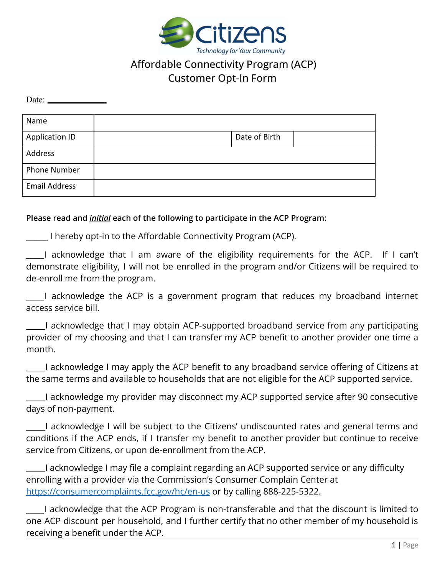

# Affordable Connectivity Program (ACP) Customer Opt-In Form

Date:

| Name                  |               |  |
|-----------------------|---------------|--|
| <b>Application ID</b> | Date of Birth |  |
| Address               |               |  |
| Phone Number          |               |  |
| <b>Email Address</b>  |               |  |

#### **Please read and** *initial* **each of the following to participate in the ACP Program:**

**\_\_\_\_\_** I hereby opt-in to the Affordable Connectivity Program (ACP).

**\_\_\_\_\_**I acknowledge that I am aware of the eligibility requirements for the ACP. If I can't demonstrate eligibility, I will not be enrolled in the program and/or Citizens will be required to de-enroll me from the program.

**\_\_\_\_\_**I acknowledge the ACP is a government program that reduces my broadband internet access service bill.

\_\_\_\_\_I acknowledge that I may obtain ACP-supported broadband service from any participating provider of my choosing and that I can transfer my ACP benefit to another provider one time a month.

\_\_\_\_\_I acknowledge I may apply the ACP benefit to any broadband service offering of Citizens at the same terms and available to households that are not eligible for the ACP supported service.

I acknowledge my provider may disconnect my ACP supported service after 90 consecutive days of non-payment.

\_\_\_\_\_I acknowledge I will be subject to the Citizens' undiscounted rates and general terms and conditions if the ACP ends, if I transfer my benefit to another provider but continue to receive service from Citizens, or upon de-enrollment from the ACP.

\_\_\_\_\_I acknowledge I may file a complaint regarding an ACP supported service or any difficulty enrolling with a provider via the Commission's Consumer Complain Center at <https://consumercomplaints.fcc.gov/hc/en-us> or by calling 888-225-5322.

**\_\_\_\_\_**I acknowledge that the ACP Program is non-transferable and that the discount is limited to one ACP discount per household, and I further certify that no other member of my household is receiving a benefit under the ACP.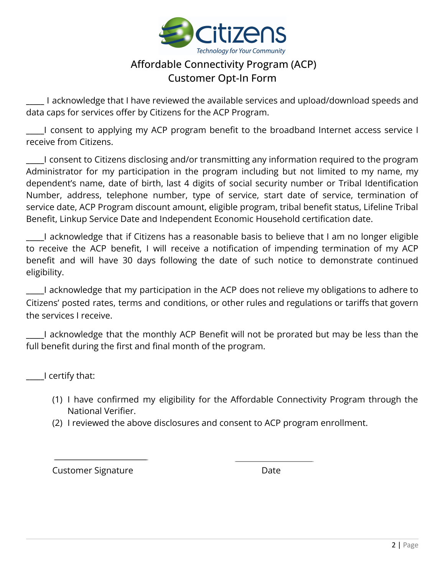

# Affordable Connectivity Program (ACP) Customer Opt-In Form

**\_\_\_\_\_** I acknowledge that I have reviewed the available services and upload/download speeds and data caps for services offer by Citizens for the ACP Program.

**\_\_\_\_\_**I consent to applying my ACP program benefit to the broadband Internet access service I receive from Citizens.

**\_\_\_\_\_**I consent to Citizens disclosing and/or transmitting any information required to the program Administrator for my participation in the program including but not limited to my name, my dependent's name, date of birth, last 4 digits of social security number or Tribal Identification Number, address, telephone number, type of service, start date of service, termination of service date, ACP Program discount amount, eligible program, tribal benefit status, Lifeline Tribal Benefit, Linkup Service Date and Independent Economic Household certification date.

**\_\_\_\_\_**I acknowledge that if Citizens has a reasonable basis to believe that I am no longer eligible to receive the ACP benefit, I will receive a notification of impending termination of my ACP benefit and will have 30 days following the date of such notice to demonstrate continued eligibility.

**\_\_\_\_\_**I acknowledge that my participation in the ACP does not relieve my obligations to adhere to Citizens' posted rates, terms and conditions, or other rules and regulations or tariffs that govern the services I receive.

**\_\_\_\_\_**I acknowledge that the monthly ACP Benefit will not be prorated but may be less than the full benefit during the first and final month of the program.

**\_\_\_\_\_**I certify that:

- (1) I have confirmed my eligibility for the Affordable Connectivity Program through the National Verifier.
- (2) I reviewed the above disclosures and consent to ACP program enrollment.

Customer Signature **Date** Date